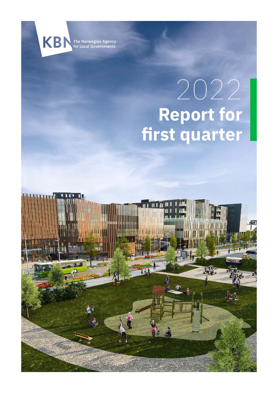

The Norwegian Agency<br>for Local Governments

# **Report for first quarter** 2022

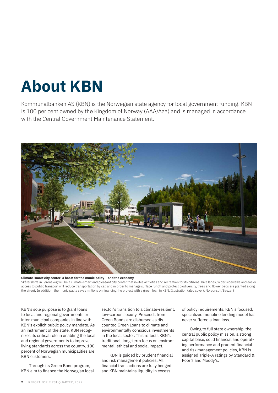# **About KBN**

Kommunalbanken AS (KBN) is the Norwegian state agency for local government funding. KBN is 100 per cent owned by the Kingdom of Norway (AAA/Aaa) and is managed in accordance with the Central Government Maintenance Statement.



**Climate-smart city center: a boost for the municipality – and the economy** Skårersletta in Lørenskog will be a climate-smart and pleasant city center that invites activities and recreation for its citizens. Bike lanes, wider sidewalks and easier access to public transport will reduce transportation by car, and in order to manage surface runoff and protect biodiversity, trees and flower beds are planted along the street. In addition, the municipality saves millions on financing the project with a green loan in KBN. Illustration (also cover): Norconsult/Baezeni

KBN's sole purpose is to grant loans to local and regional governments or inter-municipal companies in line with KBN's explicit public policy mandate. As an instrument of the state, KBN recognizes its critical role in enabling the local and regional governments to improve living standards across the country. 100 percent of Norwegian municipalities are KBN customers.

Through its Green Bond program, KBN aim to finance the Norwegian local sector's transition to a climate-resilient, low-carbon society. Proceeds from Green Bonds are disbursed as discounted Green Loans to climate and environmentally conscious investments in the local sector. This reflects KBN's traditional, long-term focus on environmental, ethical and social impact.

KBN is guided by prudent financial and risk management policies. All financial transactions are fully hedged and KBN maintains liquidity in excess

of policy requirements. KBN's focused, specialized monoline lending model has never suffered a loan loss.

Owing to full state ownership, the central public policy mission, a strong capital base, solid financial and operating performance and prudent financial and risk management policies, KBN is assigned Triple-A ratings by Standard & Poor's and Moody's.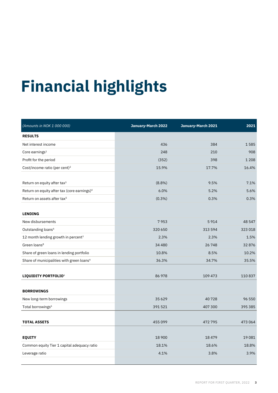# **Financial highlights Financial highlights**

| (Amounts in NOK 1 000 000)                              | January-March 2022 | January-March 2021 | 2021    |
|---------------------------------------------------------|--------------------|--------------------|---------|
| <b>RESULTS</b>                                          |                    |                    |         |
| Net interest income                                     | 436                | 384                | 1585    |
| Core earnings $1$                                       | 248                | 210                | 908     |
| Profit for the period                                   | (352)              | 398                | 1 2 0 8 |
| Cost/income ratio (per cent) <sup>2</sup>               | 15.9%              | 17.7%              | 16.4%   |
|                                                         |                    |                    |         |
| Return on equity after tax <sup>3</sup>                 | $(8.8\%)$          | 9.5%               | 7.1%    |
| Return on equity after tax (core earnings) <sup>4</sup> | 6.0%               | 5.2%               | 5.6%    |
| Return on assets after tax <sup>5</sup>                 | $(0.3\%)$          | 0.3%               | 0.3%    |
|                                                         |                    |                    |         |
| <b>LENDING</b>                                          |                    |                    |         |
| New disbursements                                       | 7953               | 5914               | 48 547  |
| Outstanding loans <sup>6</sup>                          | 320 650            | 313 594            | 323 018 |
| 12 month lending growth in percent <sup>7</sup>         | 2.3%               | 2.3%               | 1.5%    |
| Green loans <sup>8</sup>                                | 34 4 8 0           | 26748              | 32876   |
| Share of green loans in lending portfolio               | 10.8%              | 8.5%               | 10.2%   |
| Share of municipalities with green loans <sup>9</sup>   | 36.3%              | 34.7%              | 35.5%   |
|                                                         |                    |                    |         |
| LIQUIDITY PORTFOLIO <sup>6</sup>                        | 86 978             | 109 473            | 110837  |
|                                                         |                    |                    |         |
| <b>BORROWINGS</b>                                       |                    |                    |         |
| New long-term borrowings                                | 35629              | 40728              | 96 550  |
| Total borrowings <sup>6</sup>                           | 391 521            | 407 300            | 395 385 |
|                                                         |                    |                    |         |
| <b>TOTAL ASSETS</b>                                     | 455 099            | 472 795            | 473 064 |
|                                                         |                    |                    |         |
| <b>EQUITY</b>                                           | 18 900             | 18479              | 19081   |
| Common equity Tier 1 capital adequacy ratio             | 18.1%              | 18.6%              | 18.8%   |
| Leverage ratio                                          | 4.1%               | 3.8%               | 3.9%    |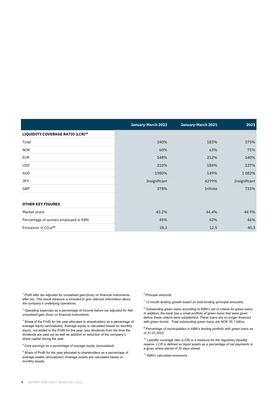|                                     | January-March 2022 | January-March 2021 | 2021          |
|-------------------------------------|--------------------|--------------------|---------------|
| LIQUIDITY COVERAGE RATIO (LCR)10    |                    |                    |               |
| Total                               | 240%               | 183%               | 175%          |
| <b>NOK</b>                          | 60%                | 63%                | 71%           |
| EUR                                 | 148%               | 212%               | 140%          |
| <b>USD</b>                          | 210%               | 184%               | 137%          |
| AUD                                 | 1980%              | 149%               | 1082%         |
| <b>JPY</b>                          | Insignificant      | 4299%              | Insignificant |
| GBP                                 | 378%               | Infinite           | 733%          |
|                                     |                    |                    |               |
| <b>OTHER KEY FIGURES</b>            |                    |                    |               |
| Market share                        | 43.2%              | 44.4%              | 44.9%         |
| Percentage of women employed in KBN | 45%                | 42%                | 46%           |
| Emissions in $CO2e11$               | 18.3               | 12.5               | 40.3          |

*<sup>1</sup> Profit after tax adjusted for unrealised gain/(loss) on financial instruments after tax. This result measure is included to give relevant information about the company's underlying operations.*

*<sup>2</sup> Operating expenses as a percentage of Income before tax adjusted for Net unrealised gain (loss) on financial instruments.*

*<sup>3</sup>* Share of the Profit for the year allocated to shareholders as a percentage of average equity (annualized). Average equity is calculated based on monthly equity, not added to the Profit for the year, less dividends from the time the dividends are paid out as well as addition or reduction of the company's share capital during the year.

*<sup>4</sup> Core earnings as a percentage of average equity (annualized).*

*<sup>5</sup>* Share of Profit for the year allocated to shareholders as a percentage of average assets (annualized). Average assets are calculated based on monthly assets.

*6 Principal amounts.*

*<sup>7</sup> 12-month lending growth based on total lending (principal amounts).*

*<sup>8</sup> Outstanding green loans according to KBN's set of criteria for green loans. In addition, the bank has a small portfolio of green loans that were given before these criteria were established. These loans are no longer financed with green bonds. Total outstanding green loans are NOK 35.1 billion.*

*<sup>9</sup> Percentage of municipalities in KBN's lending portfolio with green loans as of 31.03.2022.*

*<sup>10</sup> Liquidity coverage ratio (LCR) is a measure for the regulatory liquidity reserve. LCR is defined as liquid assets as a percentage of net payments in a given stress period of 30 days ahead.*

*<sup>11</sup> KBN's calculated emissions.*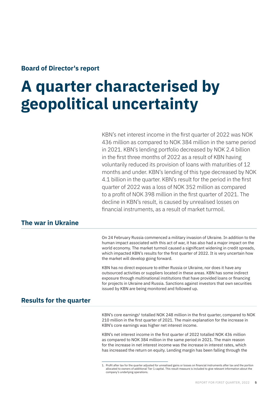# **Board of Director's report**

# **A quarter characterised by geopolitical uncertainty**

KBN's net interest income in the first quarter of 2022 was NOK 436 million as compared to NOK 384 million in the same period in 2021. KBN's lending portfolio decreased by NOK 2.4 billion in the first three months of 2022 as a result of KBN having voluntarily reduced its provision of loans with maturities of 12 months and under. KBN's lending of this type decreased by NOK 4.1 billion in the quarter. KBN's result for the period in the first quarter of 2022 was a loss of NOK 352 million as compared to a profit of NOK 398 million in the first quarter of 2021. The decline in KBN's result, is caused by unrealised losses on financial instruments, as a result of market turmoil.

# **The war in Ukraine**

On 24 February Russia commenced a military invasion of Ukraine. In addition to the human impact associated with this act of war, it has also had a major impact on the world economy. The market turmoil caused a significant widening in credit spreads, which impacted KBN's results for the first quarter of 2022. It is very uncertain how the market will develop going forward.

KBN has no direct exposure to either Russia or Ukraine, nor does it have any outsourced activities or suppliers located in these areas. KBN has some indirect exposure through multinational institutions that have provided loans or financing for projects in Ukraine and Russia. Sanctions against investors that own securities issued by KBN are being monitored and followed up.

# **Results for the quarter**

KBN's core earnings<sup>1</sup> totalled NOK 248 million in the first quarter, compared to NOK 210 million in the first quarter of 2021. The main explanation for the increase in KBN's core earnings was higher net interest income.

KBN's net interest income in the first quarter of 2022 totalled NOK 436 million as compared to NOK 384 million in the same period in 2021. The main reason for the increase in net interest income was the increase in interest rates, which has increased the return on equity. Lending margin has been falling through the

<sup>1.</sup> Profit after tax for the quarter adjusted for unrealised gains or losses on financial instruments after tax and the portion allocated to owners of additional Tier 1 capital. This result measure is included to give relevant information about the company's underlying operations.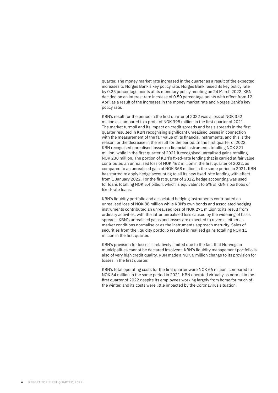quarter. The money market rate increased in the quarter as a result of the expected increases to Norges Bank's key policy rate. Norges Bank raised its key policy rate by 0.25 percentage points at its monetary policy meeting on 24 March 2022. KBN decided on an interest rate increase of 0.50 percentage points with effect from 12 April as a result of the increases in the money market rate and Norges Bank's key policy rate.

KBN's result for the period in the first quarter of 2022 was a loss of NOK 352 million as compared to a profit of NOK 398 million in the first quarter of 2021. The market turmoil and its impact on credit spreads and basis spreads in the first quarter resulted in KBN recognising significant unrealised losses in connection with the measurement of the fair value of its financial instruments, and this is the reason for the decrease in the result for the period. In the first quarter of 2022, KBN recognised unrealised losses on financial instruments totalling NOK 821 million, while in the first quarter of 2021 it recognised unrealised gains totalling NOK 230 million. The portion of KBN's fixed-rate lending that is carried at fair value contributed an unrealised loss of NOK 462 million in the first quarter of 2022, as compared to an unrealised gain of NOK 368 million in the same period in 2021. KBN has started to apply hedge accounting to all its new fixed-rate lending with effect from 1 January 2022. For the first quarter of 2022, hedge accounting was used for loans totalling NOK 5.4 billion, which is equivalent to 5% of KBN's portfolio of fixed-rate loans.

KBN's liquidity portfolio and associated hedging instruments contributed an unrealised loss of NOK 88 million while KBN's own bonds and associated hedging instruments contributed an unrealised loss of NOK 271 million to its result from ordinary activities, with the latter unrealised loss caused by the widening of basis spreads. KBN's unrealised gains and losses are expected to reverse, either as market conditions normalise or as the instruments approach maturity. Sales of securities from the liquidity portfolio resulted in realised gains totalling NOK 11 million in the first quarter.

KBN's provision for losses is relatively limited due to the fact that Norwegian municipalities cannot be declared insolvent. KBN's liquidity management portfolio is also of very high credit quality. KBN made a NOK 6 million change to its provision for losses in the first quarter.

KBN's total operating costs for the first quarter were NOK 66 million, compared to NOK 64 million in the same period in 2021. KBN operated virtually as normal in the first quarter of 2022 despite its employees working largely from home for much of the winter, and its costs were little impacted by the Coronavirus situation.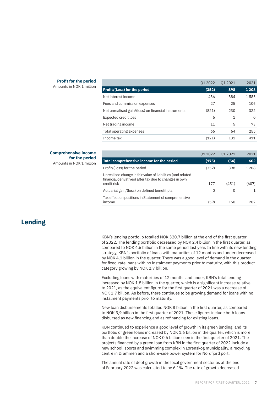#### **Profit for the period**

Amounts in NOK 1 million

|                                                     | 01 2022 | 01 20 21 | 2021 |
|-----------------------------------------------------|---------|----------|------|
| <b>Profit/(Loss) for the period</b>                 | (352)   | 398      | 1208 |
| Net interest income                                 | 436     | 384      | 1585 |
| Fees and commission expenses                        | 27      | 25       | 106  |
| Net unrealised gain/(loss) on financial instruments | (821)   | 230      | 322  |
| <b>Expected credit loss</b>                         | 6       | 1        | 0    |
| Net trading income                                  | 11      | 5        | 73   |
| Total operating expenses                            | 66      | 64       | 255  |
| Income tax                                          | (121)   | 131      | 411  |
|                                                     |         |          |      |

#### **Comprehensive income for the period** Amounts in NOK 1 million

| 01 2022 | 01 2021  | 2021       |
|---------|----------|------------|
| (175)   | (54)     | 602        |
| (352)   | 398      | 1 2 0 8    |
|         |          | (607)      |
|         |          |            |
|         |          |            |
| (59)    | 150      | 202        |
|         | 177<br>0 | (451)<br>0 |

# **Lending**

KBN's lending portfolio totalled NOK 320.7 billion at the end of the first quarter of 2022. The lending portfolio decreased by NOK 2.4 billion in the first quarter, as compared to NOK 4.6 billion in the same period last year. In line with its new lending strategy, KBN's portfolio of loans with maturities of 12 months and under decreased by NOK 4.1 billion in the quarter. There was a good level of demand in the quarter for fixed-rate loans with no instalment payments prior to maturity, with this product category growing by NOK 2.7 billion.

Excluding loans with maturities of 12 months and under, KBN's total lending increased by NOK 1.8 billion in the quarter, which is a significant increase relative to 2021, as the equivalent figure for the first quarter of 2021 was a decrease of NOK 1.7 billion. As before, there continues to be growing demand for loans with no instalment payments prior to maturity.

New loan disbursements totalled NOK 8 billion in the first quarter, as compared to NOK 5,9 billion in the first quarter of 2021. These figures include both loans disbursed as new financing and as refinancing for existing loans.

KBN continued to experience a good level of growth in its green lending, and its portfolio of green loans increased by NOK 1.6 billion in the quarter, which is more than double the increase of NOK 0.6 billion seen in the first quarter of 2021. The projects financed by a green loan from KBN in the first quarter of 2022 include a new school, sports and swimming complex in Lørenskog municipality, a recycling centre in Drammen and a shore-side power system for Nordfjord port.

The annual rate of debt growth in the local government sector as at the end of February 2022 was calculated to be 6.1%. The rate of growth decreased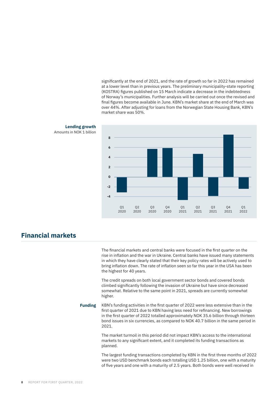significantly at the end of 2021, and the rate of growth so far in 2022 has remained at a lower level than in previous years. The preliminary municipality-state reporting (KOSTRA) figures published on 15 March indicate a decrease in the indebtedness of Norway's municipalities. Further analysis will be carried out once the revised and final figures become available in June. KBN's market share at the end of March was over 44%. After adjusting for loans from the Norwegian State Housing Bank, KBN's market share was 50%.





# **Financial markets**

The financial markets and central banks were focused in the first quarter on the rise in inflation and the war in Ukraine. Central banks have issued many statements in which they have clearly stated that their key policy rates will be actively used to bring inflation down. The rate of inflation seen so far this year in the USA has been the highest for 40 years.

The credit spreads on both local government sector bonds and covered bonds climbed significantly following the invasion of Ukraine but have since decreased somewhat. Relative to the same point in 2021, spreads are currently somewhat higher.

**Funding** KBN's funding activities in the first quarter of 2022 were less extensive than in the first quarter of 2021 due to KBN having less need for refinancing. New borrowings in the first quarter of 2022 totalled approximately NOK 35.6 billion through thirteen bond issues in six currencies, as compared to NOK 40.7 billion in the same period in 2021.

> The market turmoil in this period did not impact KBN's access to the international markets to any significant extent, and it completed its funding transactions as planned.

The largest funding transactions completed by KBN in the first three months of 2022 were two USD benchmark bonds each totalling USD 1.25 billion, one with a maturity of five years and one with a maturity of 2.5 years. Both bonds were well received in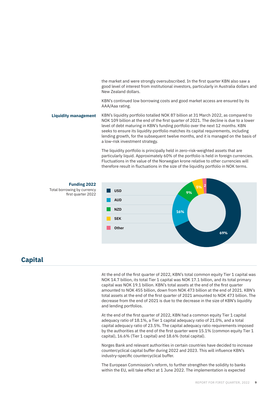the market and were strongly oversubscribed. In the first quarter KBN also saw a good level of interest from institutional investors, particularly in Australia dollars and New Zealand dollars.

KBN's continued low borrowing costs and good market access are ensured by its AAA/Aaa rating.

KBN's liquidity portfolio totalled NOK 87 billion at 31 March 2022, as compared to NOK 109 billion at the end of the first quarter of 2021. The decline is due to a lower level of debt maturing in KBN's funding portfolio over the next 12 months. KBN seeks to ensure its liquidity portfolio matches its capital requirements, including lending growth, for the subsequent twelve months, and it is managed on the basis of a low-risk investment strategy. **Liquidity management**

> The liquidity portfolio is principally held in zero-risk-weighted assets that are particularly liquid. Approximately 60% of the portfolio is held in foreign currencies. Fluctuations in the value of the Norwegian krone relative to other currencies will therefore result in fluctuations in the size of the liquidity portfolio in NOK terms.



# **Capital**

At the end of the first quarter of 2022, KBN's total common equity Tier 1 capital was NOK 14.7 billion, its total Tier 1 capital was NOK 17.1 billion, and its total primary capital was NOK 19.1 billion. KBN's total assets at the end of the first quarter amounted to NOK 455 billion, down from NOK 473 billion at the end of 2021. KBN's total assets at the end of the first quarter of 2021 amounted to NOK 473 billion. The decrease from the end of 2021 is due to the decrease in the size of KBN's liquidity and lending portfolios.

At the end of the first quarter of 2022, KBN had a common equity Tier 1 capital adequacy ratio of 18.1%, a Tier 1 capital adequacy ratio of 21.0%, and a total capital adequacy ratio of 23.5%. The capital adequacy ratio requirements imposed by the authorities at the end of the first quarter were 15.1% (common equity Tier 1 capital), 16.6% (Tier 1 capital) and 18.6% (total capital).

Norges Bank and relevant authorities in certain countries have decided to increase countercyclical capital buffer during 2022 and 2023. This will influence KBN's industry-specific countercyclical buffer.

The European Commission's reform, to further strengthen the solidity to banks within the EU, will take effect at 1 June 2022. The implementation is expected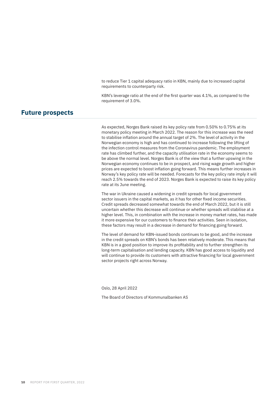to reduce Tier 1 capital adequacy ratio in KBN, mainly due to increased capital requirements to counterparty risk.

KBN's leverage ratio at the end of the first quarter was 4.1%, as compared to the requirement of 3.0%.

### **Future prospects**

As expected, Norges Bank raised its key policy rate from 0.50% to 0.75% at its monetary policy meeting in March 2022. The reason for this increase was the need to stabilise inflation around the annual target of 2%. The level of activity in the Norwegian economy is high and has continued to increase following the lifting of the infection control measures from the Coronavirus pandemic. The employment rate has climbed further, and the capacity utilisation rate in the economy seems to be above the normal level. Norges Bank is of the view that a further upswing in the Norwegian economy continues to be in prospect, and rising wage growth and higher prices are expected to boost inflation going forward. This means further increases in Norway's key policy rate will be needed. Forecasts for the key policy rate imply it will reach 2.5% towards the end of 2023. Norges Bank is expected to raise its key policy rate at its June meeting.

The war in Ukraine caused a widening in credit spreads for local government sector issuers in the capital markets, as it has for other fixed income securities. Credit spreads decreased somewhat towards the end of March 2022, but it is still uncertain whether this decrease will continue or whether spreads will stabilise at a higher level. This, in combination with the increase in money market rates, has made it more expensive for our customers to finance their activities. Seen in isolation, these factors may result in a decrease in demand for financing going forward.

The level of demand for KBN-issued bonds continues to be good, and the increase in the credit spreads on KBN's bonds has been relatively moderate. This means that KBN is in a good position to improve its profitability and to further strengthen its long-term capitalisation and lending capacity. KBN has good access to liquidity and will continue to provide its customers with attractive financing for local government sector projects right across Norway.

Oslo, 28 April 2022

The Board of Directors of Kommunalbanken AS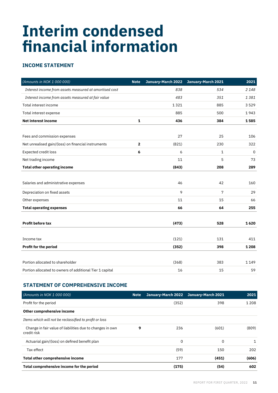# **Interim condensed financial information**

# **INCOME STATEMENT**

| (Amounts in NOK 1 000 000)                               | <b>Note</b>  | January-March 2022 | January-March 2021 | 2021        |
|----------------------------------------------------------|--------------|--------------------|--------------------|-------------|
| Interest income from assets measured at amortised cost   |              | 838                | 534                | 2148        |
| Interest income from assets measured at fair value       |              | 483                | 351                | 1381        |
| Total interest income                                    |              | 1321               | 885                | 3529        |
| Total interest expense                                   |              | 885                | 500                | 1943        |
| <b>Net interest income</b>                               | $\mathbf 1$  | 436                | 384                | 1585        |
|                                                          |              |                    |                    |             |
| Fees and commission expenses                             |              | 27                 | 25                 | 106         |
| Net unrealised gain/(loss) on financial instruments      | $\mathbf{2}$ | (821)              | 230                | 322         |
| Expected credit loss                                     | 6            | 6                  | $\mathbf{1}$       | $\mathbf 0$ |
| Net trading income                                       |              | 11                 | 5                  | 73          |
| <b>Total other operating income</b>                      |              | (843)              | 208                | 289         |
|                                                          |              |                    |                    |             |
| Salaries and administrative expenses                     |              | 46                 | 42                 | 160         |
| Depreciation on fixed assets                             |              | 9                  | 7                  | 29          |
| Other expenses                                           |              | 11                 | 15                 | 66          |
| <b>Total operating expenses</b>                          |              | 66                 | 64                 | 255         |
|                                                          |              |                    |                    |             |
| <b>Profit before tax</b>                                 |              | (473)              | 528                | 1620        |
|                                                          |              |                    |                    |             |
| Income tax                                               |              | (121)              | 131                | 411         |
| Profit for the period                                    |              | (352)              | 398                | 1 2 0 8     |
|                                                          |              |                    |                    |             |
| Portion allocated to shareholder                         |              | (368)              | 383                | 1149        |
| Portion allocated to owners of additional Tier 1 capital |              | 16                 | 15                 | 59          |

### **STATEMENT OF COMPREHENSIVE INCOME**

| (Amounts in NOK 1 000 000)                                               | <b>Note</b> |          | January-March 2022 January-March 2021 | 2021         |
|--------------------------------------------------------------------------|-------------|----------|---------------------------------------|--------------|
| Profit for the period                                                    |             | (352)    | 398                                   | 1 2 0 8      |
| Other comprehensive income                                               |             |          |                                       |              |
| Items which will not be reclassified to profit or loss                   |             |          |                                       |              |
| Change in fair value of liabilities due to changes in own<br>credit risk | 9           | 236      | (601)                                 | (809)        |
| Actuarial gain/(loss) on defined benefit plan                            |             | $\Omega$ | 0                                     | $\mathbf{1}$ |
| Tax effect                                                               |             | (59)     | 150                                   | 202          |
| Total other comprehensive income                                         |             | 177      | (451)                                 | (606)        |
| Total comprehensive income for the period                                |             | (175)    | (54)                                  | 602          |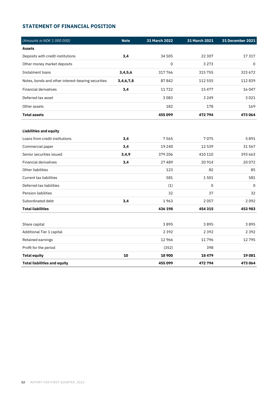# **STATEMENT OF FINANCIAL POSITION**

| (Amounts in NOK 1 000 000)                         | <b>Note</b> | 31 March 2022 | 31 March 2021 | 31 December 2021 |
|----------------------------------------------------|-------------|---------------|---------------|------------------|
| <b>Assets</b>                                      |             |               |               |                  |
| Deposits with credit institutions                  | 3,4         | 34 505        | 22 307        | 17317            |
| Other money market deposits                        |             | $\mathbf 0$   | 3 2 7 3       | 0                |
| Instalment loans                                   | 3,4,5,6     | 317766        | 315 755       | 323 672          |
| Notes, bonds and other interest-bearing securities | 3,4,6,7,8   | 87842         | 112 555       | 112839           |
| <b>Financial derivatives</b>                       | 3,4         | 11722         | 15 477        | 16 047           |
| Deferred tax asset                                 |             | 3083          | 3 2 4 9       | 3 0 2 1          |
| Other assets                                       |             | 182           | 178           | 169              |
| <b>Total assets</b>                                |             | 455 099       | 472 794       | 473 064          |
|                                                    |             |               |               |                  |
| <b>Liabilities and equity</b>                      |             |               |               |                  |
| Loans from credit institutions                     | 3,4         | 7565          | 7075          | 5891             |
| Commercial paper                                   | 3,4         | 19 240        | 12539         | 31 567           |
| Senior securities issued                           | 3,4,9       | 379 206       | 410 110       | 393 663          |
| <b>Financial derivatives</b>                       | 3,4         | 27489         | 20 914        | 20072            |
| Other liabilities                                  |             | 123           | 82            | 85               |
| <b>Current tax liabilities</b>                     |             | 581           | 1501          | 581              |
| Deferred tax liabilities                           |             | (1)           | 0             | $\mathbf 0$      |
| <b>Pension liabilities</b>                         |             | 32            | 37            | 32               |
| Subordinated debt                                  | 3,4         | 1963          | 2057          | 2092             |
| <b>Total liabilities</b>                           |             | 436 198       | 454 315       | 453 983          |
|                                                    |             |               |               |                  |
| Share capital                                      |             | 3895          | 3895          | 3895             |
| Additional Tier 1 capital                          |             | 2392          | 2392          | 2392             |
| Retained earnings                                  |             | 12 9 6 6      | 11796         | 12795            |
| Profit for the period                              |             | (352)         | 398           |                  |
| <b>Total equity</b>                                | 10          | 18 900        | 18479         | 19081            |
| <b>Total liabilities and equity</b>                |             | 455099        | 472 794       | 473 064          |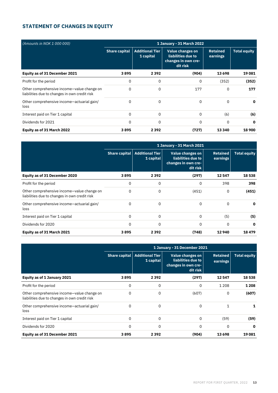# **STATEMENT OF CHANGES IN EQUITY**

| (Amounts in NOK 1 000 000)                                                                  | 1 January - 31 March 2022 |                                     |                                                                                  |                      |                     |
|---------------------------------------------------------------------------------------------|---------------------------|-------------------------------------|----------------------------------------------------------------------------------|----------------------|---------------------|
|                                                                                             | <b>Share capital</b>      | <b>Additional Tier</b><br>1 capital | <b>Value changes on</b><br>liabilities due to<br>changes in own cre-<br>dit risk | Retained<br>earnings | <b>Total equity</b> |
| Equity as of 31 December 2021                                                               | 3895                      | 2 3 9 2                             | (904)                                                                            | 13 6 98              | 19081               |
| Profit for the period                                                                       | 0                         | 0                                   | 0                                                                                | (352)                | (352)               |
| Other comprehensive income-value change on<br>liabilities due to changes in own credit risk | 0                         | 0                                   | 177                                                                              | 0                    | 177                 |
| Other comprehensive income-actuarial gain/<br>loss                                          | 0                         | 0                                   | 0                                                                                | $\Omega$             | $\mathbf{o}$        |
| Interest paid on Tier 1 capital                                                             | 0                         | 0                                   | $\Omega$                                                                         | (6)                  | (6)                 |
| Dividends for 2021                                                                          | 0                         | 0                                   | 0                                                                                | $\Omega$             | $\mathbf{o}$        |
| Equity as of 31 March 2022                                                                  | 3895                      | 2392                                | (727)                                                                            | 13 340               | 18 900              |

|                                                                                             | 1 January - 31 March 2021 |                                     |                                                                           |                             |                     |
|---------------------------------------------------------------------------------------------|---------------------------|-------------------------------------|---------------------------------------------------------------------------|-----------------------------|---------------------|
|                                                                                             | Share capital             | <b>Additional Tier</b><br>1 capital | Value changes on<br>liabilities due to<br>changes in own cre-<br>dit risk | <b>Retained</b><br>earnings | <b>Total equity</b> |
| Equity as of 31 December 2020                                                               | 3895                      | 2 3 9 2                             | (297)                                                                     | 12 547                      | 18 538              |
| Profit for the period                                                                       | 0                         | 0                                   | $\Omega$                                                                  | 398                         | 398                 |
| Other comprehensive income-value change on<br>liabilities due to changes in own credit risk | 0                         | 0                                   | (451)                                                                     | 0                           | (451)               |
| Other comprehensive income-actuarial gain/<br>loss                                          | 0                         | 0                                   | $\Omega$                                                                  | 0                           | 0                   |
| Interest paid on Tier 1 capital                                                             | 0                         | 0                                   | $\Omega$                                                                  | (5)                         | (5)                 |
| Dividends for 2020                                                                          | 0                         | 0                                   | $\Omega$                                                                  | 0                           | 0                   |
| Equity as of 31 March 2021                                                                  | 3895                      | 2392                                | (748)                                                                     | 12940                       | 18479               |

|                                                                                             | 1 January - 31 December 2021 |                                     |                                                                           |                             |                     |
|---------------------------------------------------------------------------------------------|------------------------------|-------------------------------------|---------------------------------------------------------------------------|-----------------------------|---------------------|
|                                                                                             | Share capital                | <b>Additional Tier</b><br>1 capital | Value changes on<br>liabilities due to<br>changes in own cre-<br>dit risk | <b>Retained</b><br>earnings | <b>Total equity</b> |
| Equity as of 1 January 2021                                                                 | 3895                         | 2 3 9 2                             | (297)                                                                     | 12 547                      | 18538               |
| Profit for the period                                                                       | 0                            | 0                                   | 0                                                                         | 1 2 0 8                     | 1 2 0 8             |
| Other comprehensive income-value change on<br>liabilities due to changes in own credit risk | 0                            | 0                                   | (607)                                                                     | 0                           | (607)               |
| Other comprehensive income-actuarial gain/<br>loss                                          | 0                            | 0                                   | 0                                                                         | 1                           | 1                   |
| Interest paid on Tier 1 capital                                                             | 0                            | 0                                   | $\Omega$                                                                  | (59)                        | (59)                |
| Dividends for 2020                                                                          | 0                            | 0                                   | 0                                                                         | 0                           | 0                   |
| Equity as of 31 December 2021                                                               | 3895                         | 2 3 9 2                             | (904)                                                                     | 13 698                      | 19081               |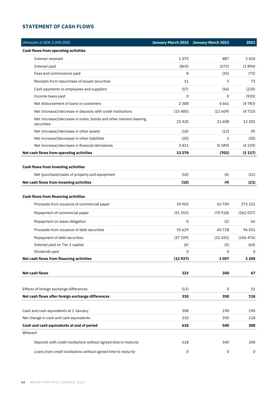### **STATEMENT OF CASH FLOWS**

|         | (Amounts in NOK 1 000 000)                                                       |         | January-March 2022 January-March 2021 | 2021      |
|---------|----------------------------------------------------------------------------------|---------|---------------------------------------|-----------|
|         | <b>Cash flows from operating activities</b>                                      |         |                                       |           |
|         | Interest received                                                                | 1075    | 887                                   | 3 4 1 0   |
|         | Interest paid                                                                    | (869)   | (573)                                 | (1894)    |
|         | Fees and commissions paid                                                        | 8       | (25)                                  | (73)      |
|         | Receipts from repurchase of issued securities                                    | 11      | 5                                     | 73        |
|         | Cash payments to employees and suppliers                                         | (57)    | (56)                                  | (220)     |
|         | Income taxes paid                                                                | 0       | 0                                     | (920)     |
|         | Net disbursement of loans to customers                                           | 2388    | 4661                                  | (4783)    |
|         | Net (increase)/decrease in deposits with credit institutions                     | (15485) | (11609)                               | (4733)    |
|         | Net (increase)/decrease in notes, bonds and other interest-bearing<br>securities | 22 4 20 | 11608                                 | 12 3 0 1  |
|         | Net (increase)/decrease in other assets                                          | (10)    | (12)                                  | (9)       |
|         | Net increase/(decrease) in other liabilities                                     | (20)    | 1                                     | (30)      |
|         | Net (increase)/decrease in financial derivatives                                 | 3811    | (5589)                                | (4239)    |
|         | Net cash flows from operating activities                                         | 13 270  | (703)                                 | (1117)    |
|         |                                                                                  |         |                                       |           |
|         | <b>Cash flows from investing activities</b>                                      |         |                                       |           |
|         | Net (purchase)/sales of property and equipment                                   | (10)    | (4)                                   | (21)      |
|         | Net cash flows from investing activities                                         | (10)    | (4)                                   | (21)      |
|         | <b>Cash flows from financing activities</b>                                      |         |                                       |           |
|         | Proceeds from issuance of commercial paper                                       | 39 902  | 63709                                 | 273 232   |
|         | Repayment of commercial paper                                                    | (51353) | (70918)                               | (262037)  |
|         | Repayment on lease obligation                                                    | 0       | (2)                                   | (6)       |
|         | Proceeds from issuance of debt securities                                        | 35629   | 40728                                 | 96 551    |
|         | Repayment of debt securities                                                     | (37109) | (32455)                               | (106 476) |
|         | Interest paid on Tier 1 capital                                                  | (6)     | (5)                                   | (60)      |
|         | Dividends paid                                                                   | 0       | 0                                     | 0         |
|         | Net cash flows from financing activities                                         | (12937) | 1057                                  | 1 2 0 5   |
|         |                                                                                  |         |                                       |           |
|         | <b>Net cash flows</b>                                                            | 323     | 350                                   | 67        |
|         |                                                                                  |         |                                       |           |
|         | Effects of foreign exchange differences                                          | (13)    | 0                                     | 51        |
|         | Net cash flows after foreign exchange differences                                | 310     | 350                                   | 118       |
|         |                                                                                  |         |                                       |           |
|         | Cash and cash equivalents at 1 January                                           | 308     | 190                                   | 190       |
|         | Net change in cash and cash equivalents                                          | 310     | 350                                   | 118       |
|         | Cash and cash equivalents at end of period                                       | 618     | 540                                   | 308       |
| Whereof |                                                                                  |         |                                       |           |
|         | Deposits with credit institutions without agreed time to maturity                | 618     | 540                                   | 308       |
|         | Loans from credit institutions without agreed time to maturity                   | 0       | 0                                     | 0         |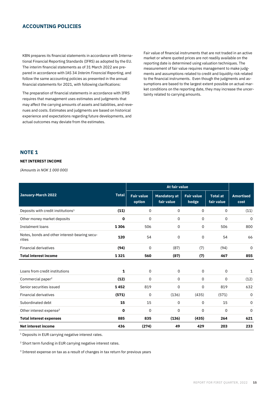#### **ACCOUNTING POLICIES**

KBN prepares its financial statements in accordance with International Financial Reporting Standards (IFRS) as adopted by the EU. The interim financial statements as of 31 March 2022 are prepared in accordance with IAS 34 *Interim Financial Reporting*, and follow the same accounting policies as presented in the annual financial statements for 2021, with following clarifications:

The preparation of financial statements in accordance with IFRS requires that management uses estimates and judgments that may affect the carrying amounts of assets and liabilities, and revenues and costs. Estimates and judgments are based on historical experience and expectations regarding future developments, and actual outcomes may deviate from the estimates.

Fair value of financial instruments that are not traded in an active market or where quoted prices are not readily available on the reporting date is determined using valuation techniques. The measurement of fair value requires management to make judgments and assumptions related to credit and liquidity risk related to the financial instruments. Even though the judgments and assumptions are based to the largest extent possible on actual market conditions on the reporting date, they may increase the uncertainty related to carrying amounts.

#### **NOTE 1**

#### **NET INTEREST INCOME**

*(Amounts in NOK 1 000 000)*

|                                                         |              |                             | <b>At fair value</b>              |                            |                               |                          |
|---------------------------------------------------------|--------------|-----------------------------|-----------------------------------|----------------------------|-------------------------------|--------------------------|
| January-March 2022                                      | <b>Total</b> | <b>Fair value</b><br>option | <b>Mandatory at</b><br>fair value | <b>Fair value</b><br>hedge | <b>Total at</b><br>fair value | <b>Amortised</b><br>cost |
| Deposits with credit institutions <sup>1</sup>          | (11)         | 0                           | $\mathsf{O}$                      | 0                          | 0                             | (11)                     |
| Other money market deposits                             | 0            | 0                           | 0                                 | 0                          | 0                             | $\mathbf 0$              |
| Instalment loans                                        | 1306         | 506                         | 0                                 | 0                          | 506                           | 800                      |
| Notes, bonds and other interest-bearing secu-<br>rities | 120          | 54                          | 0                                 | 0                          | 54                            | 66                       |
| <b>Financial derivatives</b>                            | (94)         | 0                           | (87)                              | (7)                        | (94)                          | $\mathbf 0$              |
| <b>Total interest income</b>                            | 1321         | 560                         | (87)                              | (7)                        | 467                           | 855                      |
|                                                         |              |                             |                                   |                            |                               |                          |
| Loans from credit institutions                          | 1            | 0                           | 0                                 | 0                          | 0                             | 1                        |
| Commercial paper <sup>2</sup>                           | (12)         | 0                           | 0                                 | 0                          | 0                             | (12)                     |
| Senior securities issued                                | 1452         | 819                         | 0                                 | 0                          | 819                           | 632                      |
| <b>Financial derivatives</b>                            | (571)        | 0                           | (136)                             | (435)                      | (571)                         | 0                        |
| Subordinated debt                                       | 15           | 15                          | 0                                 | 0                          | 15                            | 0                        |
| Other interest expense <sup>3</sup>                     | 0            | 0                           | 0                                 | 0                          | 0                             | 0                        |
| <b>Total interest expenses</b>                          | 885          | 835                         | (136)                             | (435)                      | 264                           | 621                      |
| <b>Net interest income</b>                              | 436          | (274)                       | 49                                | 429                        | 203                           | 233                      |

<sup>1</sup> Deposits in EUR carrying negative interest rates.

<sup>2</sup> Short term funding in EUR carrying negative interest rates.

<sup>3</sup> Interest expense on tax as a result of changes in tax return for previous years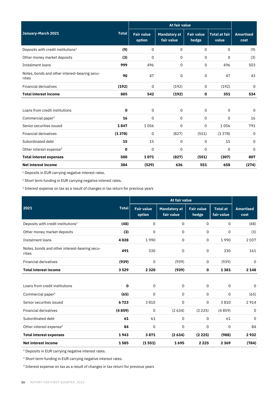|                                                         |              |                             | At fair value                     |                            |                               |                          |
|---------------------------------------------------------|--------------|-----------------------------|-----------------------------------|----------------------------|-------------------------------|--------------------------|
| January-March 2021                                      | <b>Total</b> | <b>Fair value</b><br>option | <b>Mandatory at</b><br>fair value | <b>Fair value</b><br>hedge | <b>Total at fair</b><br>value | <b>Amortised</b><br>cost |
| Deposits with credit institutions <sup>1</sup>          | (9)          | 0                           | 0                                 | 0                          | 0                             | (9)                      |
| Other money market deposits                             | (3)          | 0                           | 0                                 | 0                          | 0                             | (3)                      |
| <b>Instalment loans</b>                                 | 999          | 496                         | $\Omega$                          | 0                          | 496                           | 503                      |
| Notes, bonds and other interest-bearing secu-<br>rities | 90           | 47                          | 0                                 | 0                          | 47                            | 43                       |
| <b>Financial derivatives</b>                            | (192)        | $\Omega$                    | (192)                             | $\Omega$                   | (192)                         | $\Omega$                 |
| <b>Total interest income</b>                            | 885          | 542                         | (192)                             | 0                          | 351                           | 534                      |
|                                                         |              |                             |                                   |                            |                               |                          |
| Loans from credit institutions                          | $\mathbf 0$  | $\Omega$                    | $\Omega$                          | $\mathbf 0$                | 0                             | $\mathbf 0$              |
| Commercial paper <sup>2</sup>                           | 16           | $\Omega$                    | $\Omega$                          | $\mathbf 0$                | $\Omega$                      | 16                       |
| Senior securities issued                                | 1847         | 1056                        | $\Omega$                          | $\mathbf 0$                | 1056                          | 791                      |
| <b>Financial derivatives</b>                            | (1378)       | $\mathbf 0$                 | (827)                             | (551)                      | (1378)                        | 0                        |
| Subordinated debt                                       | 15           | 15                          | 0                                 | $\mathbf 0$                | 15                            | 0                        |
| Other interest expense <sup>3</sup>                     | 0            | $\Omega$                    | $\Omega$                          | 0                          | 0                             | 0                        |
| <b>Total interest expenses</b>                          | 500          | 1071                        | (827)                             | (551)                      | (307)                         | 807                      |
| <b>Net interest income</b>                              | 384          | (529)                       | 636                               | 551                        | 658                           | (274)                    |

<sup>1</sup> Deposits in EUR carrying negative interest rates.

<sup>2</sup> Short term funding in EUR carrying negative interest rates.

<sup>3</sup> Interest expense on tax as a result of changes in tax return for previous years

|                                                         |        |                             | <b>At fair value</b>              |                            |                               |                          |
|---------------------------------------------------------|--------|-----------------------------|-----------------------------------|----------------------------|-------------------------------|--------------------------|
| 2021                                                    |        | <b>Fair value</b><br>option | <b>Mandatory</b> at<br>fair value | <b>Fair value</b><br>hedge | <b>Total at</b><br>fair value | <b>Amortised</b><br>cost |
| Deposits with credit institutions <sup>1</sup>          | (48)   | 0                           | 0                                 | 0                          | 0                             | (48)                     |
| Other money market deposits                             | (3)    | 0                           | 0                                 | 0                          | 0                             | (3)                      |
| Instalment loans                                        | 4028   | 1990                        | 0                                 | 0                          | 1990                          | 2037                     |
| Notes, bonds and other interest-bearing secu-<br>rities | 491    | 330                         | 0                                 | 0                          | 330                           | 161                      |
| <b>Financial derivatives</b>                            | (939)  | 0                           | (939)                             | $\Omega$                   | (939)                         | 0                        |
| <b>Total interest income</b>                            | 3529   | 2320                        | (939)                             | $\mathbf{0}$               | 1381                          | 2 1 4 8                  |
|                                                         |        |                             |                                   |                            |                               |                          |
| Loans from credit institutions                          | 0      | $\mathsf{O}$                | 0                                 | 0                          | 0                             | 0                        |
| Commercial paper <sup>2</sup>                           | (65)   | 0                           | 0                                 | 0                          | 0                             | (65)                     |
| Senior securities issued                                | 6723   | 3810                        | 0                                 | 0                          | 3810                          | 2914                     |
| <b>Financial derivatives</b>                            | (4859) | 0                           | (2634)                            | (2 225)                    | (4859)                        | 0                        |
| Subordinated debt                                       | 61     | 61                          | 0                                 | 0                          | 61                            | 0                        |
| Other interest expense <sup>3</sup>                     | 84     | $\mathbf 0$                 | 0                                 | 0                          | 0                             | 84                       |
| <b>Total interest expenses</b>                          | 1943   | 3871                        | (2634)                            | (2225)                     | (988)                         | 2932                     |
| <b>Net interest income</b>                              | 1585   | (1551)                      | 1695                              | 2225                       | 2 3 6 9                       | (784)                    |

<sup>1</sup> Deposits in EUR carrying negative interest rates.

<sup>2</sup> Short term funding in EUR carrying negative interest rates.

<sup>3</sup> Interest expense on tax as a result of changes in tax return for previous years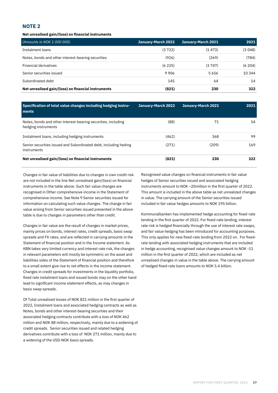**Net unrealised gain/(loss) on financial instruments** 

| (Amounts in NOK 1 000 000)                          | January-March 2022 | January-March 2021 | 2021   |
|-----------------------------------------------------|--------------------|--------------------|--------|
| Instalment loans                                    | (3722)             | (1473)             | (3048) |
| Notes, bonds and other interest-bearing securities  | (926)              | (269)              | (784)  |
| Financial derivatives                               | (6225)             | (3747)             | (6204) |
| Senior securities issued                            | 9906               | 5656               | 10 344 |
| Subordinated debt                                   | 145                | 64                 | 14     |
| Net unrealised gain/(loss) on financial instruments | (821)              | 230                | 322    |

| Specification of total value changes including hedging instru-<br>ments              | January-March 2022 | January-March 2021 | 2021 |
|--------------------------------------------------------------------------------------|--------------------|--------------------|------|
| Notes, bonds and other interest-bearing securities, including<br>hedging instruments | (88)               | 71                 | 54   |
| Instalment loans, including hedging instruments                                      | (462)              | 368                | 99   |
| Senior securities issued and Subordinated debt, including heding<br>instruments      | (271)              | (209)              | 169  |
| Net unrealised gain/(loss) on financial instruments                                  | (821)              | 230                | 322  |

Changes in fair value of liabilities due to changes in own credit risk are not included in the line Net unrealised gain/(loss) on financial instruments in the table above. Such fair value changes are recognised in Other comprehensive income in the Statement of comprehensive income. See Note 9 Senior securities issued for information on calculating such value changes. The change in fair value arising from Senior securities issued presented in the above table is due to changes in parameters other than credit.

Changes in fair value are the result of changes in market prices, mainly prices on bonds, interest rates, credit spreads, basis swap spreads and FX rates, and are reflected in carrying amounts in the Statement of financial position and in the Income statement. As KBN takes very limited currency and interest rate risk, the changes in relevant parameters will mostly be symmetric on the asset and liabilities sides of the Statement of financial position and therefore to a small extent give rise to net effects in the income statement. Changes in credit spreads for investments in the liquidity portfolio, fixed rate instalment loans and issued bonds may on the other hand lead to significant income statement effects, as may changes in basis swap spreads.

Of Total unrealised losses of NOK 821 million in the first quarter of 2022, Instalment loans and associated hedging contracts as well as Notes, bonds and other interest-bearing securities and their associated hedging contracts contribute with a loss of NOK 462 million and NOK 88 million, respectively, mainly due to a widening of credit spreads. Senior securities issued and related hedging derivatives contribute with a loss of NOK 271 million, mainly due to a widening of the USD-NOK basis spreads.

Recognised value changes on financial instruments in fair value hedges of Senior securities issued and associated hedging instruments amount to NOK –20million in the first quarter of 2022. This amount is included in the above table as net unrealized changes in value. The carrying amount of the Senior securities issued included in fair value hedges amounts to NOK 195 billion.

Kommunalbanken has implemented hedge accounting for fixed-rate lending in the first quarter of 2022. For fixed-rate lending, interest rate risk is hedged financially through the use of interest rate swaps, and fair value hedging has been introduced for accounting purposes. This only applies for new fixed-rate lending from 2022 on. For fixedrate lending with associated hedging instruments that are included in hedge accounting, recognised value changes amount to NOK -11 million in the first quarter of 2022, which are included as net unrealised changes in value in the table above. The carrying amount of hedged fixed-rate loans amounts to NOK 5.4 billion.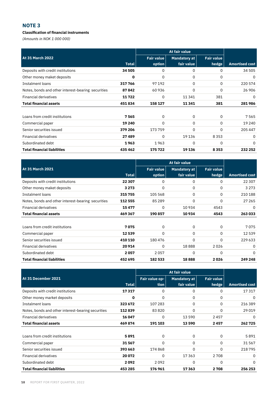#### **Classification of financial instruments**

*(Amounts in NOK 1 000 000)*

|                                                    |         |                   | At fair value |                   |                       |
|----------------------------------------------------|---------|-------------------|---------------|-------------------|-----------------------|
| At 31 March 2022                                   |         | <b>Fair value</b> | Mandatory at  | <b>Fair value</b> |                       |
|                                                    | Total   | option            | fair value    | hedge             | <b>Amortised cost</b> |
| Deposits with credit institutions                  | 34 505  | 0                 | 0             | 0                 | 34 505                |
| Other money maket deposits                         | 0       | 0                 | 0             | 0                 | 0                     |
| Instalment loans                                   | 317766  | 97 192            | 0             | $\Omega$          | 220 574               |
| Notes, bonds and other interest-bearing securities | 87842   | 60936             | 0             | $\Omega$          | 26 906                |
| <b>Financial derivatives</b>                       | 11722   | 0                 | 11341         | 381               | 0                     |
| <b>Total financial assets</b>                      | 451834  | 158 127           | 11341         | 381               | 281986                |
|                                                    |         |                   |               |                   |                       |
| Loans from credit institutions                     | 7565    | 0                 | 0             | 0                 | 7565                  |
| Commercial paper                                   | 19 240  | 0                 | 0             | 0                 | 19 240                |
| Senior securities issued                           | 379 206 | 173759            | 0             | $\Omega$          | 205 447               |
| <b>Financial derivatives</b>                       | 27489   | 0                 | 19 13 6       | 8 3 5 3           | 0                     |
| Subordinated debt                                  | 1963    | 1963              | 0             | 0                 | 0                     |
| <b>Total financial liabilities</b>                 | 435462  | 175722            | 19 136        | 8353              | 232 252               |

|                                                    |         |                   | At fair value       |                   |                       |
|----------------------------------------------------|---------|-------------------|---------------------|-------------------|-----------------------|
| At 31 March 2021                                   |         | <b>Fair value</b> | <b>Mandatory at</b> | <b>Fair value</b> |                       |
|                                                    | Total   | option            | fair value          | hedge             | <b>Amortised cost</b> |
| Deposits with credit institutions                  | 22 307  | 0                 | 0                   | 0                 | 22 3 0 7              |
| Other money maket deposits                         | 3 2 7 3 | 0                 | 0                   | 0                 | 3 2 7 3               |
| Instalment loans                                   | 315755  | 105 568           | $\Omega$            | 0                 | 210 188               |
| Notes, bonds and other interest-bearing securities | 112 555 | 85 2 89           | 0                   | 0                 | 27 265                |
| <b>Financial derivatives</b>                       | 15477   | 0                 | 10 934              | 4543              | 0                     |
| <b>Total financial assets</b>                      | 469 367 | 190 857           | 10 934              | 4543              | 263 033               |
|                                                    |         |                   |                     |                   |                       |
| Loans from credit institutions                     | 7075    | 0                 | 0                   | 0                 | 7075                  |
| Commercial paper                                   | 12539   | $\Omega$          | $\Omega$            | $\Omega$          | 12539                 |
| Senior securities issued                           | 410 110 | 180476            | $\Omega$            | $\Omega$          | 229 633               |
| <b>Financial derivatives</b>                       | 20914   | $\Omega$          | 18888               | 2026              | 0                     |
| Subordinated debt                                  | 2057    | 2057              | $\Omega$            | $\Omega$          | $\Omega$              |
| <b>Total financial liabilities</b>                 | 452 695 | 182 533           | 18888               | 2026              | 249 248               |

|                                                    |              |                | At fair value |                   |                       |
|----------------------------------------------------|--------------|----------------|---------------|-------------------|-----------------------|
| At 31 December 2021                                |              | Fair value op- | Mandatory at  | <b>Fair value</b> |                       |
|                                                    | <b>Total</b> | <b>tion</b>    | fair value    | hedge             | <b>Amortised cost</b> |
| Deposits with credit institutions                  | 17317        | 0              | 0             | 0                 | 17317                 |
| Other money market deposits                        | 0            | 0              | 0             | 0                 | 0                     |
| Instalment loans                                   | 323 672      | 107 283        | 0             | $\Omega$          | 216 389               |
| Notes, bonds and other interest-bearing securities | 112839       | 83820          | 0             | 0                 | 29 0 19               |
| <b>Financial derivatives</b>                       | 16 047       | 0              | 13590         | 2457              | 0                     |
| <b>Total financial assets</b>                      | 469874       | 191 103        | 13590         | 2457              | 262725                |
|                                                    |              |                |               |                   |                       |
| Loans from credit institutions                     | 5891         | 0              | 0             | 0                 | 5891                  |
| Commercial paper                                   | 31567        | 0              | $\Omega$      | $\Omega$          | 31 567                |
| Senior securities issued                           | 393 663      | 174868         | $\Omega$      | $\Omega$          | 218795                |
| <b>Financial derivatives</b>                       | 20072        | 0              | 17363         | 2708              | 0                     |
| Subordinated debt                                  | 2092         | 2092           | 0             | 0                 | 0                     |
| <b>Total financial liabilities</b>                 | 453 285      | 176961         | 17363         | 2708              | 256 253               |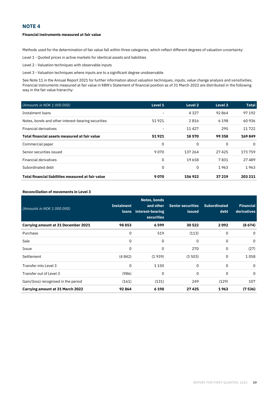#### **Financial instruments measured at fair value**

Methods used for the determination of fair value fall within three categories, which reflect different degrees of valuation uncertainty:

Level 1 - Quoted prices in active markets for identical assets and liabilities

Level 2 - Valuation techniques with observable inputs

Level 3 - Valuation techniques where inputs are to a significant degree unobservable

See Note 11 in the Annual Report 2021 for further information about valuation techniques, inputs, value change analysis and sensitivities. Financial instruments measured at fair value in KBN's Statement of financial position as of 31 March 2022 are distributed in the following way in the fair value hierarchy:

| (Amounts in NOK 1 000 000)                         | Level 1                  | Level 2 | Level 3 | <b>Total</b> |
|----------------------------------------------------|--------------------------|---------|---------|--------------|
| Instalment loans                                   | $\overline{\phantom{0}}$ | 4327    | 92864   | 97 192       |
| Notes, bonds and other interest-bearing securities | 51921                    | 2816    | 6 1 9 8 | 60936        |
| <b>Financial derivatives</b>                       | $\overline{\phantom{0}}$ | 11427   | 295     | 11722        |
| Total financial assets measured at fair value      | 51921                    | 18570   | 99 358  | 169849       |
| Commercial paper                                   | 0                        | 0       | 0       | 0            |
| Senior securities issued                           | 9070                     | 137 264 | 27425   | 173759       |
| <b>Financial derivatives</b>                       | 0                        | 19658   | 7831    | 27489        |
| Subordinated debt                                  | 0                        | 0       | 1963    | 1963         |
| Total financial liabilities measured at fair value | 9070                     | 156922  | 37 219  | 203 211      |

#### **Reconciliation of movements in Level 3**

| (Amounts in NOK 1 000 000)                 | <b>Instalment</b><br><b>loans</b> | Notes, bonds<br>and other<br>interest-bearing<br><b>securities</b> | <b>Senior securities</b><br><b>issued</b> | <b>Subordinated</b><br>debt | <b>Financial</b><br>derivatives |
|--------------------------------------------|-----------------------------------|--------------------------------------------------------------------|-------------------------------------------|-----------------------------|---------------------------------|
| <b>Carrying amount at 31 December 2021</b> | 98853                             | 6599                                                               | 30522                                     | 2092                        | (8674)                          |
| Purchase                                   | 0                                 | 519                                                                | (113)                                     | 0                           | 0                               |
| Sale                                       | 0                                 | 0                                                                  | 0                                         | 0                           | 0                               |
| Issue                                      | 0                                 | 0                                                                  | 270                                       | 0                           | (27)                            |
| Settlement                                 | (4842)                            | (1939)                                                             | (3503)                                    | 0                           | 1058                            |
| Transfer into Level 3                      | 0                                 | 1 1 5 0                                                            | 0                                         | $\mathbf 0$                 | $\Omega$                        |
| Transfer out of Level 3                    | (986)                             | 0                                                                  | 0                                         | 0                           | $\Omega$                        |
| Gain/(loss) recognised in the period       | (161)                             | (131)                                                              | 249                                       | (129)                       | 107                             |
| Carrying amount at 31 March 2022           | 92864                             | 6 1 9 8                                                            | 27425                                     | 1963                        | (7536)                          |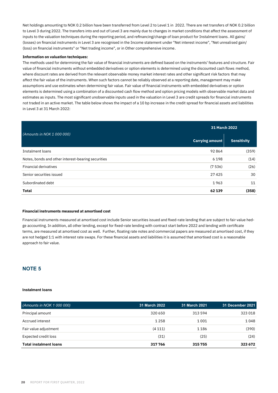Net holdings amounting to NOK 0.2 billion have been transferred from Level 2 to Level 1 in 2022. There are net transfers of NOK 0.2 billion to Level 3 during 2022. The transfers into and out of Level 3 are mainly due to changes in market conditions that affect the assessment of inputs to the valuation techniques during the reporting period, and refinancing/change of loan product for Instalment loans. All gains/ (losses) on financial instruments in Level 3 are recognised in the Income statement under "Net interest income", "Net unrealised gain/ (loss) on financial instruments" or "Net trading income", or in Other comprehensive income.

#### **Information on valuation techniques:**

The methods used for determining the fair value of financial instruments are defined based on the instruments' features and structure. Fair value of financial instruments without embedded derivatives or option elements is determined using the discounted cash flows method, where discount rates are derived from the relevant observable money market interest rates and other significant risk factors that may affect the fair value of the instruments. When such factors cannot be reliably observed at a reporting date, management may make assumptions and use estimates when determining fair value. Fair value of financial instruments with embedded derivatives or option elements is determined using a combination of a discounted cash flow method and option pricing models with observable market data and estimates as inputs. The most significant unobservable inputs used in the valuation in Level 3 are credit spreads for financial instruments not traded in an active market. The table below shows the impact of a 10 bp increase in the credit spread for financial assets and liabilities in Level 3 at 31 March 2022:

| (Amounts in NOK 1 000 000)                         | 31 March 2022          |                    |  |  |
|----------------------------------------------------|------------------------|--------------------|--|--|
|                                                    | <b>Carrying amount</b> | <b>Sensitivity</b> |  |  |
| Instalment loans                                   | 92864                  | (359)              |  |  |
| Notes, bonds and other interest-bearing securities | 6 1 9 8                | (14)               |  |  |
| <b>Financial derivatives</b>                       | (7536)                 | (26)               |  |  |
| Senior securities issued                           | 27425                  | 30                 |  |  |
| Subordinated debt                                  | 1963                   | 11                 |  |  |
| <b>Total</b>                                       | 62 139                 | (358)              |  |  |

#### **Financial instruments measured at amortised cost**

Financial instruments measured at amortised cost include Senior securities issued and fixed-rate lending that are subject to fair value hedge accounting. In addition, all other lending, except for fixed-rate lending with contract start before 2022 and lending with certificate terms, are measured at amortised cost as well. Further, floating rate notes and commercial papers are measured at amortised cost, if they are not hedged 1:1 with interest rate swaps. For these financial assets and liabilities it is assumed that amortised cost is a reasonable approach to fair value.

#### **NOTE 5**

#### **Instalment loans**

| (Amounts in NOK 1 000 000)    | <b>31 March 2022</b> | 31 March 2021 | 31 December 2021 |
|-------------------------------|----------------------|---------------|------------------|
| Principal amount              | 320 650              | 313 594       | 323 018          |
| Accrued interest              | 1 2 5 8              | 1001          | 1048             |
| Fair value adjustment         | (4111)               | 1186          | (390)            |
| Expected credit loss          | (31)                 | (25)          | (24)             |
| <b>Total instalment loans</b> | 317 766              | 315755        | 323 672          |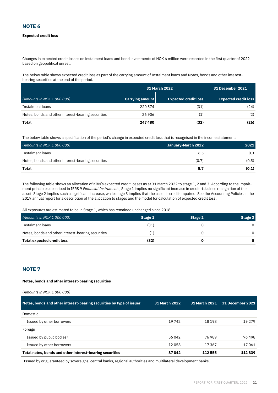#### **Expected credit loss**

Changes in expected credit losses on instalment loans and bond investments of NOK 6 million were recorded in the first quarter of 2022 based on geopolitical unrest.

The below table shows expected credit loss as part of the carrying amount of Instalment loans and Notes, bonds and other interestbearing securities at the end of the period.

|                                                    | <b>31 March 2022</b> | <b>31 December 2021</b>     |                             |
|----------------------------------------------------|----------------------|-----------------------------|-----------------------------|
| (Amounts in NOK 1 000 000)                         | Carrying amount      | <b>Expected credit loss</b> | <b>Expected credit loss</b> |
| Instalment loans                                   | 220 574              | (31)                        | (24)                        |
| Notes, bonds and other interest-bearing securities | 26 906               | (1)                         | (2)                         |
| Total                                              | 247480               | (32)                        | (26)                        |

The below table shows a specification of the period's change in expected credit loss that is recognised in the income statement:

| (Amounts in NOK 1 000 000)                         | January-March 2022 | 2021  |
|----------------------------------------------------|--------------------|-------|
| Instalment loans                                   | 6.5                | 0.3   |
| Notes, bonds and other interest-bearing securities | (0.7)              | (0.5) |
| Total                                              | 5.7                | (0.1) |

The following table shows an allocation of KBN's expected credit losses as at 31 March 2022 to stage 1, 2 and 3. According to the impairment principles described in IFRS 9 *Financial Instruments*, Stage 1 implies no significant increase in credit risk since recognition of the asset. Stage 2 implies such a significant increase, while stage 3 implies that the asset is credit-impaired. See the Accounting Policies in the 2019 annual report for a description of the allocation to stages and the model for calculation of expected credit loss.

All exposures are estimated to be in Stage 1, which has remained unchanged since 2018.

| (Amounts in NOK 1 000 000)                         | Stage 1 | Stage 2 | Stage 3  |
|----------------------------------------------------|---------|---------|----------|
| Instalment loans                                   | (31)    |         |          |
| Notes, bonds and other interest-bearing securities |         |         |          |
| Total expected credit loss                         | (32)    |         | $\Omega$ |

#### **NOTE 7**

#### **Notes, bonds and other interest-bearing securities**

| (Amounts in NOK 1 000 000)                                           |                      |                      |                         |
|----------------------------------------------------------------------|----------------------|----------------------|-------------------------|
| Notes, bonds and other interest-bearing securities by type of issuer | <b>31 March 2022</b> | <b>31 March 2021</b> | <b>31 December 2021</b> |
| Domestic                                                             |                      |                      |                         |
| Issued by other borrowers                                            | 19742                | 18 198               | 19 2 79                 |
| Foreign                                                              |                      |                      |                         |
| Issued by public bodies <sup>1</sup>                                 | 56 042               | 76989                | 76 498                  |
| Issued by other borrowers                                            | 12058                | 17367                | 17061                   |
| Total notes, bonds and other interest-bearing securities             | 87842                | 112 555              | 112839                  |

<sup>1</sup>Issued by or guaranteed by sovereigns, central banks, regional authorities and multilateral development banks.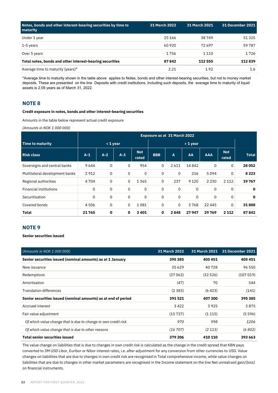| Notes, bonds and other interest-bearing securities by time to<br>maturity | 31 March 2022 | 31 March 2021 | <b>31 December 2021</b> |
|---------------------------------------------------------------------------|---------------|---------------|-------------------------|
| Under 1 year                                                              | 25 16 6       | 38749         | 51325                   |
| 1-5 years                                                                 | 60 9 20       | 72697         | 59787                   |
| Over 5 years                                                              | 1756          | 1 1 1 0       | 1726                    |
| Total notes, bonds and other interest-bearing securities                  | 87842         | 112 555       | 112839                  |
| Average time to maturity (years)*                                         | 2.21          | 1.92          | 1.6                     |

\*Average time to maturity shown in the table above applies to Notes, bonds and other interest-bearing securities, but not to money market deposits. These are presented on the line Deposits with credit institutions. Including such deposits, the average time to maturity of liquid assets is 2.09 years as of March 31, 2022.

#### **NOTE 8**

#### **Credit exposure in notes, bonds and other interest-bearing securities**

Amounts in the table below represent actual credit exposure

*(Amounts in NOK 1 000 000)* 

|                                | Exposure as at 31 March 2022 |       |       |                     |             |      |          |            |                     |              |
|--------------------------------|------------------------------|-------|-------|---------------------|-------------|------|----------|------------|---------------------|--------------|
| <b>Time to maturity</b>        | $<$ 1 year                   |       |       | $> 1$ year          |             |      |          |            |                     |              |
| <b>Risk class</b>              | $A-1$                        | $A-2$ | $A-3$ | <b>Not</b><br>rated | <b>BBB</b>  | A    | AA       | <b>AAA</b> | <b>Not</b><br>rated | <b>Total</b> |
| Sovereigns and central banks   | 9644                         | 0     | 0     | 954                 | 0           | 2611 | 14842    | 0          | 0                   | 28052        |
| Multilateral development banks | 2912                         | 0     | 0     | 0                   | $\Omega$    | 0    | 216      | 5094       | 0                   | 8 2 2 3      |
| Regional authorities           | 4704                         | 0     | 0     | 1365                | 0           | 237  | 9 1 2 0  | 2 2 3 0    | 2 1 1 2             | 19767        |
| <b>Financial institutions</b>  | 0                            | 0     | 0     | 0                   | $\mathbf 0$ | 0    | $\Omega$ | 0          | $\Omega$            | $\mathbf 0$  |
| Securitisation                 | 0                            | 0     | 0     | 0                   | 0           | 0    | 0        | 0          | 0                   | $\mathbf 0$  |
| Covered bonds                  | 4506                         | 0     | 0     | 1081                | 0           | 0    | 3768     | 22 445     | $\Omega$            | 31800        |
| <b>Total</b>                   | 21765                        | 0     | 0     | 3401                | 0           | 2848 | 27947    | 29 769     | 2 1 1 2             | 87842        |

#### **NOTE 9**

**Senior securities issued**

| (Amounts in NOK 1 000 000)                                     | <b>31 March 2022</b> | <b>31 March 2021</b> | <b>31 December 2021</b> |
|----------------------------------------------------------------|----------------------|----------------------|-------------------------|
| Senior securities issued (nominal amounts) as at 1 January     | 395 385              | 405451               | 405451                  |
| New issuance                                                   | 35 6 29              | 40728                | 96 550                  |
| Redemptions                                                    | (37063)              | (32526)              | (107019)                |
| Amortisation                                                   | (47)                 | 70                   | 544                     |
| <b>Translation differences</b>                                 | (2383)               | (6423)               | (141)                   |
| Senior securities issued (nominal amounts) as at end of period | 391521               | 407300               | 395 385                 |
| Accrued interest                                               | 3422                 | 3925                 | 3875                    |
| Fair value adjustment                                          | (15737)              | (1115)               | (5596)                  |
| Of which value change that is due to change in own credit risk | 970                  | 998                  | 1206                    |
| Of which value change that is due to other reasons             | (16707)              | (2113)               | (6802)                  |
| <b>Total senior securities issued</b>                          | 379 206              | 410 110              | 393 663                 |

The value change on liabilities that is due to changes in own credit risk is calculated as the change in the credit spread that KBN pays converted to 3M USD Libor, Euribor or Nibor interest rates, i.e. after adjustment for any conversion from other currencies to USD. Value changes on liabilities that are due to changes in own credit risk are recognised in Total comprehensive income, while value changes on liabilities that are due to changes in other market parameters are recognised in the Income statement on the line Net unrealised gain/(loss) on financial instruments.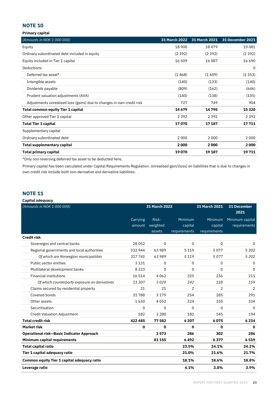**Primary capital**

| (Amounts in NOK 1 000 000)                                            | 31 March 2022 | 31 March 2021 | <b>31 December 2021</b> |
|-----------------------------------------------------------------------|---------------|---------------|-------------------------|
| Equity                                                                | 18 900        | 18479         | 19081                   |
| Ordinary subordinated debt included in equity                         | (2392)        | (2392)        | (2392)                  |
| Equity included in Tier 1 capital                                     | 16 509        | 16 087        | 16 6 9 0                |
| Deductions:                                                           |               |               | 0                       |
| Deferred tax asset*                                                   | (1468)        | (1609)        | (1353)                  |
| Intangible assets                                                     | (140)         | (133)         | (140)                   |
| Dividends payable                                                     | (809)         | (162)         | (646)                   |
| Prudent valuation adjustments (AVA)                                   | (140)         | (138)         | (135)                   |
| Adjustments unrealised loss (gains) due to changes in own credit risk | 727           | 749           | 904                     |
| <b>Total common equity Tier 1 capital</b>                             | 14679         | 14795         | 15 3 20                 |
| Other approved Tier 1 capital                                         | 2 3 9 2       | 2392          | 2 3 9 2                 |
| <b>Total Tier 1 capital</b>                                           | 17070         | 17 187        | 17711                   |
| Supplementary capital                                                 |               |               |                         |
| Ordinary subordinated debt                                            | 2000          | 2000          | 2000                    |
| Total supplementary capital                                           | 2000          | 2000          | 2000                    |
| Total primary capital                                                 | 19070         | 19 187        | 19711                   |

\*Only non reversing deferred tax asset to be deducted here.

Primary capital has been calculated under Capital Requirements Regulation. Unrealised gain/(loss) on liabilities that is due to changes in own credit risk include both non-derivative and derivative liabilities.

# **NOTE 11**

#### **Capital adequacy**

| (Amounts in NOK 1 000 000)                         |          | 31 March 2022 |                | 31 March 2021  | <b>31 December</b><br>2021 |
|----------------------------------------------------|----------|---------------|----------------|----------------|----------------------------|
|                                                    | Carrying | Risk-         | Minimum        | Minimum        | Minimum capital            |
|                                                    | amount   | weighted      | capital        | capital        | requirements               |
|                                                    |          | assets        | requirements   | requirements   |                            |
| <b>Credit risk</b>                                 |          |               |                |                |                            |
| Sovereigns and central banks                       | 28052    | 0             | 0              | 0              | 0                          |
| Regional governments and local authorities         | 332944   | 63989         | 5119           | 5077           | 5 2 0 2                    |
| Of which are Norwegian municipalities              | 317745   | 63989         | 5 1 1 9        | 5077           | 5 2 0 2                    |
| Public sector entities                             | 3 1 3 1  | 0             | 0              | 0              | 0                          |
| Multilateral development banks                     | 8 2 2 3  | $\Omega$      | 0              | $\Omega$       | 0                          |
| <b>Financial institutions</b>                      | 16 514   | 4062          | 325            | 236            | 211                        |
| Of which counterparty exposure on derivatives      | 11307    | 3020          | 242            | 118            | 159                        |
| Claims secured by residential property             | 21       | 21            | $\overline{2}$ | $\overline{2}$ | 2                          |
| Covered bonds                                      | 31788    | 3 1 7 9       | 254            | 285            | 291                        |
| Other assets                                       | 1630     | 4052          | 324            | 330            | 334                        |
| Securitisation                                     | 0        | $\Omega$      | 0              | 0              | $\Omega$                   |
| <b>Credit Valuation Adjustment</b>                 | 182      | 2 2 8 0       | 182            | 145            | 194                        |
| <b>Total credit risk</b>                           | 422 485  | 77 582        | 6 2 0 7        | 6075           | 6234                       |
| <b>Market risk</b>                                 | 0        | 0             | O              | 0              | $\mathbf{0}$               |
| <b>Operational risk-Basic Indicator Approach</b>   |          | 3573          | 286            | 302            | 286                        |
| Minimum capital requirements                       |          | 81 155        | 6492           | 6377           | 6519                       |
| <b>Total capital ratio</b>                         |          |               | 23.5%          | 24.1%          | 24.2%                      |
| Tier 1 capital adequacy ratio                      |          |               | 21.0%          | 21.6%          | 21.7%                      |
| <b>Common equity Tier 1 capital adequacy ratio</b> |          |               | 18.1%          | 18.6%          | 18.8%                      |
| Leverage ratio                                     |          |               | 4.1%           | 3.8%           | 3.9%                       |